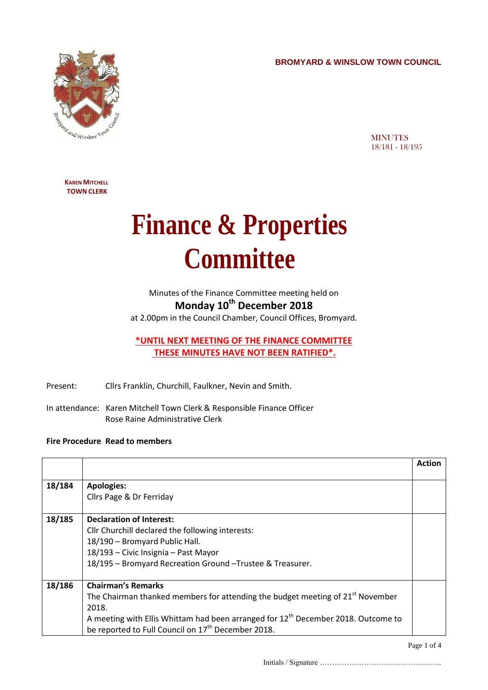**BROMYARD & WINSLOW TOWN COUNCIL**



**MINUTES** 18/181 - 18/195

**KAREN MITCHELL TOWN CLERK**

## **Finance & Properties Committee**

Minutes of the Finance Committee meeting held on **Monday 10th December 2018**

at 2.00pm in the Council Chamber, Council Offices, Bromyard.

**\*UNTIL NEXT MEETING OF THE FINANCE COMMITTEE THESE MINUTES HAVE NOT BEEN RATIFIED\*.**

Present: Cllrs Franklin, Churchill, Faulkner, Nevin and Smith.

In attendance: Karen Mitchell Town Clerk & Responsible Finance Officer Rose Raine Administrative Clerk

## **Fire Procedure Read to members**

|        |                                                                                            | Action |
|--------|--------------------------------------------------------------------------------------------|--------|
|        |                                                                                            |        |
| 18/184 | <b>Apologies:</b>                                                                          |        |
|        | Cllrs Page & Dr Ferriday                                                                   |        |
|        |                                                                                            |        |
| 18/185 | <b>Declaration of Interest:</b>                                                            |        |
|        | Cllr Churchill declared the following interests:                                           |        |
|        | 18/190 - Bromyard Public Hall.                                                             |        |
|        | 18/193 - Civic Insignia - Past Mayor                                                       |        |
|        | 18/195 - Bromyard Recreation Ground - Trustee & Treasurer.                                 |        |
|        |                                                                                            |        |
| 18/186 | <b>Chairman's Remarks</b>                                                                  |        |
|        | The Chairman thanked members for attending the budget meeting of 21 <sup>st</sup> November |        |
|        | 2018.                                                                                      |        |
|        | A meeting with Ellis Whittam had been arranged for $12th$ December 2018. Outcome to        |        |
|        | be reported to Full Council on 17 <sup>th</sup> December 2018.                             |        |

Page 1 of 4

Initials / Signature …………………………………………..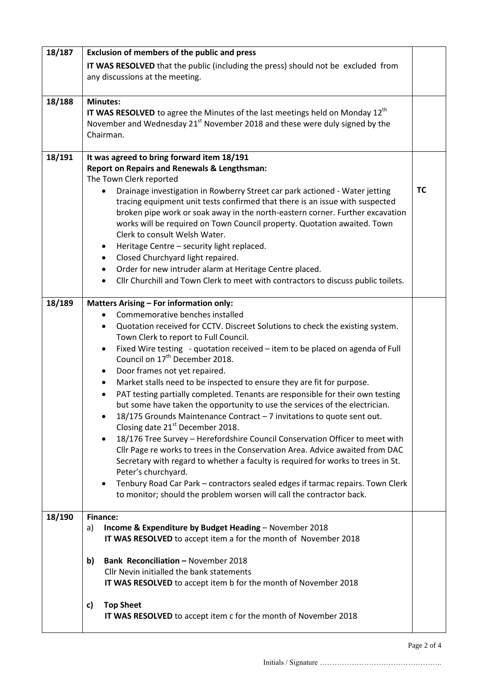| 18/187 | Exclusion of members of the public and press                                                |           |  |  |  |
|--------|---------------------------------------------------------------------------------------------|-----------|--|--|--|
|        | IT WAS RESOLVED that the public (including the press) should not be excluded from           |           |  |  |  |
|        | any discussions at the meeting.                                                             |           |  |  |  |
|        |                                                                                             |           |  |  |  |
| 18/188 | <b>Minutes:</b>                                                                             |           |  |  |  |
|        | IT WAS RESOLVED to agree the Minutes of the last meetings held on Monday 12 <sup>th</sup>   |           |  |  |  |
|        | November and Wednesday 21 <sup>st</sup> November 2018 and these were duly signed by the     |           |  |  |  |
|        | Chairman.                                                                                   |           |  |  |  |
|        |                                                                                             |           |  |  |  |
| 18/191 | It was agreed to bring forward item 18/191                                                  |           |  |  |  |
|        | <b>Report on Repairs and Renewals &amp; Lengthsman:</b>                                     |           |  |  |  |
|        | The Town Clerk reported                                                                     |           |  |  |  |
|        | Drainage investigation in Rowberry Street car park actioned - Water jetting<br>$\bullet$    | <b>TC</b> |  |  |  |
|        | tracing equipment unit tests confirmed that there is an issue with suspected                |           |  |  |  |
|        | broken pipe work or soak away in the north-eastern corner. Further excavation               |           |  |  |  |
|        | works will be required on Town Council property. Quotation awaited. Town                    |           |  |  |  |
|        | Clerk to consult Welsh Water.                                                               |           |  |  |  |
|        | Heritage Centre - security light replaced.<br>$\bullet$                                     |           |  |  |  |
|        | Closed Churchyard light repaired.<br>٠                                                      |           |  |  |  |
|        | Order for new intruder alarm at Heritage Centre placed.<br>$\bullet$                        |           |  |  |  |
|        | Cllr Churchill and Town Clerk to meet with contractors to discuss public toilets.           |           |  |  |  |
| 18/189 | <b>Matters Arising - For information only:</b>                                              |           |  |  |  |
|        | Commemorative benches installed                                                             |           |  |  |  |
|        | Quotation received for CCTV. Discreet Solutions to check the existing system.<br>$\bullet$  |           |  |  |  |
|        | Town Clerk to report to Full Council.                                                       |           |  |  |  |
|        | Fixed Wire testing - quotation received - item to be placed on agenda of Full<br>$\bullet$  |           |  |  |  |
|        | Council on 17 <sup>th</sup> December 2018.                                                  |           |  |  |  |
|        | Door frames not yet repaired.<br>٠                                                          |           |  |  |  |
|        | Market stalls need to be inspected to ensure they are fit for purpose.<br>$\bullet$         |           |  |  |  |
|        | PAT testing partially completed. Tenants are responsible for their own testing              |           |  |  |  |
|        | but some have taken the opportunity to use the services of the electrician.                 |           |  |  |  |
|        | 18/175 Grounds Maintenance Contract - 7 invitations to quote sent out.                      |           |  |  |  |
|        | Closing date 21 <sup>st</sup> December 2018.                                                |           |  |  |  |
|        | 18/176 Tree Survey - Herefordshire Council Conservation Officer to meet with<br>$\bullet$   |           |  |  |  |
|        | Cllr Page re works to trees in the Conservation Area. Advice awaited from DAC               |           |  |  |  |
|        | Secretary with regard to whether a faculty is required for works to trees in St.            |           |  |  |  |
|        | Peter's churchyard.                                                                         |           |  |  |  |
|        | Tenbury Road Car Park - contractors sealed edges if tarmac repairs. Town Clerk<br>$\bullet$ |           |  |  |  |
|        | to monitor; should the problem worsen will call the contractor back.                        |           |  |  |  |
| 18/190 | <b>Finance:</b>                                                                             |           |  |  |  |
|        | Income & Expenditure by Budget Heading - November 2018<br>a)                                |           |  |  |  |
|        | IT WAS RESOLVED to accept item a for the month of November 2018                             |           |  |  |  |
|        |                                                                                             |           |  |  |  |
|        | <b>Bank Reconciliation - November 2018</b><br>b)                                            |           |  |  |  |
|        | Cllr Nevin initialled the bank statements                                                   |           |  |  |  |
|        | IT WAS RESOLVED to accept item b for the month of November 2018                             |           |  |  |  |
|        | <b>Top Sheet</b><br>c)                                                                      |           |  |  |  |
|        | IT WAS RESOLVED to accept item c for the month of November 2018                             |           |  |  |  |
|        |                                                                                             |           |  |  |  |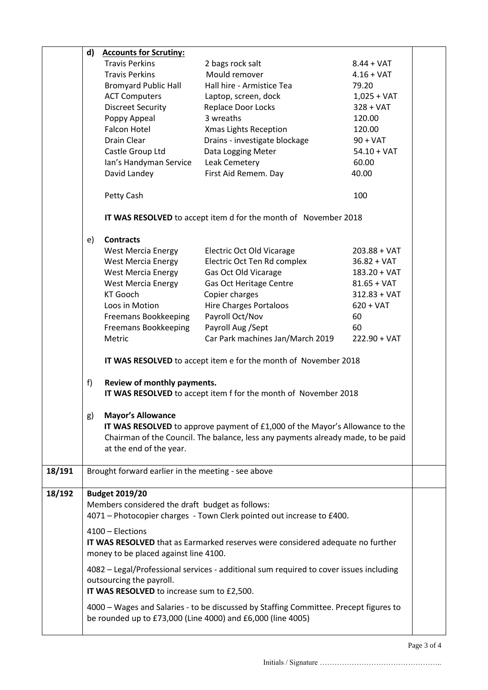|        | d)                                                                                                                                                               | <b>Accounts for Scrutiny:</b> |                                                                                  |                |  |  |  |
|--------|------------------------------------------------------------------------------------------------------------------------------------------------------------------|-------------------------------|----------------------------------------------------------------------------------|----------------|--|--|--|
|        |                                                                                                                                                                  | <b>Travis Perkins</b>         | 2 bags rock salt                                                                 | $8.44 + VAT$   |  |  |  |
|        |                                                                                                                                                                  | <b>Travis Perkins</b>         | Mould remover                                                                    | $4.16 + VAT$   |  |  |  |
|        |                                                                                                                                                                  | <b>Bromyard Public Hall</b>   | Hall hire - Armistice Tea                                                        | 79.20          |  |  |  |
|        |                                                                                                                                                                  | <b>ACT Computers</b>          | Laptop, screen, dock                                                             | $1,025 + VAT$  |  |  |  |
|        |                                                                                                                                                                  | <b>Discreet Security</b>      | Replace Door Locks                                                               | $328 + VAT$    |  |  |  |
|        |                                                                                                                                                                  | Poppy Appeal                  | 3 wreaths                                                                        | 120.00         |  |  |  |
|        |                                                                                                                                                                  | <b>Falcon Hotel</b>           | <b>Xmas Lights Reception</b>                                                     | 120.00         |  |  |  |
|        |                                                                                                                                                                  | Drain Clear                   | Drains - investigate blockage                                                    | $90 + VAT$     |  |  |  |
|        |                                                                                                                                                                  | Castle Group Ltd              | Data Logging Meter                                                               | $54.10 + VAT$  |  |  |  |
|        |                                                                                                                                                                  | Ian's Handyman Service        | Leak Cemetery                                                                    | 60.00          |  |  |  |
|        |                                                                                                                                                                  | David Landey                  | First Aid Remem. Day                                                             | 40.00          |  |  |  |
|        |                                                                                                                                                                  | Petty Cash                    |                                                                                  | 100            |  |  |  |
|        | IT WAS RESOLVED to accept item d for the month of November 2018                                                                                                  |                               |                                                                                  |                |  |  |  |
|        | e)                                                                                                                                                               | <b>Contracts</b>              |                                                                                  |                |  |  |  |
|        |                                                                                                                                                                  | <b>West Mercia Energy</b>     | <b>Electric Oct Old Vicarage</b>                                                 | $203.88 + VAT$ |  |  |  |
|        |                                                                                                                                                                  | <b>West Mercia Energy</b>     | Electric Oct Ten Rd complex                                                      | $36.82 + VAT$  |  |  |  |
|        |                                                                                                                                                                  | <b>West Mercia Energy</b>     | Gas Oct Old Vicarage                                                             | $183.20 + VAT$ |  |  |  |
|        |                                                                                                                                                                  | <b>West Mercia Energy</b>     | Gas Oct Heritage Centre                                                          | $81.65 + VAT$  |  |  |  |
|        |                                                                                                                                                                  | <b>KT Gooch</b>               | Copier charges                                                                   | $312.83 + VAT$ |  |  |  |
|        |                                                                                                                                                                  | Loos in Motion                | <b>Hire Charges Portaloos</b>                                                    | $620 + VAT$    |  |  |  |
|        |                                                                                                                                                                  | Freemans Bookkeeping          | Payroll Oct/Nov                                                                  | 60             |  |  |  |
|        |                                                                                                                                                                  | Freemans Bookkeeping          | Payroll Aug /Sept                                                                | 60             |  |  |  |
|        |                                                                                                                                                                  | Metric                        | Car Park machines Jan/March 2019                                                 | $222.90 + VAT$ |  |  |  |
|        | IT WAS RESOLVED to accept item e for the month of November 2018                                                                                                  |                               |                                                                                  |                |  |  |  |
|        | Review of monthly payments.<br>f)                                                                                                                                |                               |                                                                                  |                |  |  |  |
|        | IT WAS RESOLVED to accept item f for the month of November 2018                                                                                                  |                               |                                                                                  |                |  |  |  |
|        | g)<br><b>Mayor's Allowance</b>                                                                                                                                   |                               |                                                                                  |                |  |  |  |
|        | <b>IT WAS RESOLVED</b> to approve payment of £1,000 of the Mayor's Allowance to the                                                                              |                               |                                                                                  |                |  |  |  |
|        |                                                                                                                                                                  |                               | Chairman of the Council. The balance, less any payments already made, to be paid |                |  |  |  |
|        |                                                                                                                                                                  | at the end of the year.       |                                                                                  |                |  |  |  |
| 18/191 | Brought forward earlier in the meeting - see above                                                                                                               |                               |                                                                                  |                |  |  |  |
| 18/192 |                                                                                                                                                                  | <b>Budget 2019/20</b>         |                                                                                  |                |  |  |  |
|        | Members considered the draft budget as follows:<br>4071 - Photocopier charges - Town Clerk pointed out increase to £400.                                         |                               |                                                                                  |                |  |  |  |
|        | 4100 - Elections                                                                                                                                                 |                               |                                                                                  |                |  |  |  |
|        | <b>IT WAS RESOLVED</b> that as Earmarked reserves were considered adequate no further<br>money to be placed against line 4100.                                   |                               |                                                                                  |                |  |  |  |
|        |                                                                                                                                                                  |                               |                                                                                  |                |  |  |  |
|        | 4082 - Legal/Professional services - additional sum required to cover issues including<br>outsourcing the payroll.<br>IT WAS RESOLVED to increase sum to £2,500. |                               |                                                                                  |                |  |  |  |
|        | 4000 - Wages and Salaries - to be discussed by Staffing Committee. Precept figures to<br>be rounded up to £73,000 (Line 4000) and £6,000 (line 4005)             |                               |                                                                                  |                |  |  |  |
|        |                                                                                                                                                                  |                               |                                                                                  |                |  |  |  |